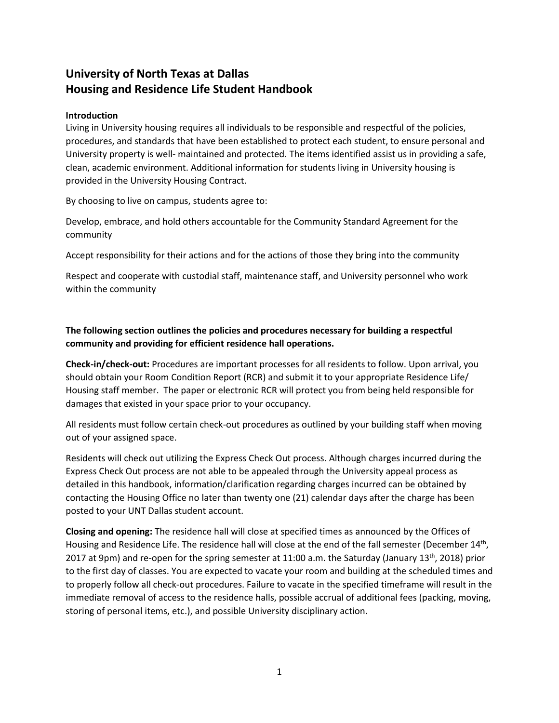# **University of North Texas at Dallas Housing and Residence Life Student Handbook**

#### **Introduction**

Living in University housing requires all individuals to be responsible and respectful of the policies, procedures, and standards that have been established to protect each student, to ensure personal and University property is well- maintained and protected. The items identified assist us in providing a safe, clean, academic environment. Additional information for students living in University housing is provided in the University Housing Contract.

By choosing to live on campus, students agree to:

Develop, embrace, and hold others accountable for the Community Standard Agreement for the community

Accept responsibility for their actions and for the actions of those they bring into the community

Respect and cooperate with custodial staff, maintenance staff, and University personnel who work within the community

## **The following section outlines the policies and procedures necessary for building a respectful community and providing for efficient residence hall operations.**

**Check-in/check-out:** Procedures are important processes for all residents to follow. Upon arrival, you should obtain your Room Condition Report (RCR) and submit it to your appropriate Residence Life/ Housing staff member. The paper or electronic RCR will protect you from being held responsible for damages that existed in your space prior to your occupancy.

All residents must follow certain check-out procedures as outlined by your building staff when moving out of your assigned space.

Residents will check out utilizing the Express Check Out process. Although charges incurred during the Express Check Out process are not able to be appealed through the University appeal process as detailed in this handbook, information/clarification regarding charges incurred can be obtained by contacting the Housing Office no later than twenty one (21) calendar days after the charge has been posted to your UNT Dallas student account.

**Closing and opening:** The residence hall will close at specified times as announced by the Offices of Housing and Residence Life. The residence hall will close at the end of the fall semester (December 14<sup>th</sup>, 2017 at 9pm) and re-open for the spring semester at 11:00 a.m. the Saturday (January 13<sup>th</sup>, 2018) prior to the first day of classes. You are expected to vacate your room and building at the scheduled times and to properly follow all check-out procedures. Failure to vacate in the specified timeframe will result in the immediate removal of access to the residence halls, possible accrual of additional fees (packing, moving, storing of personal items, etc.), and possible University disciplinary action.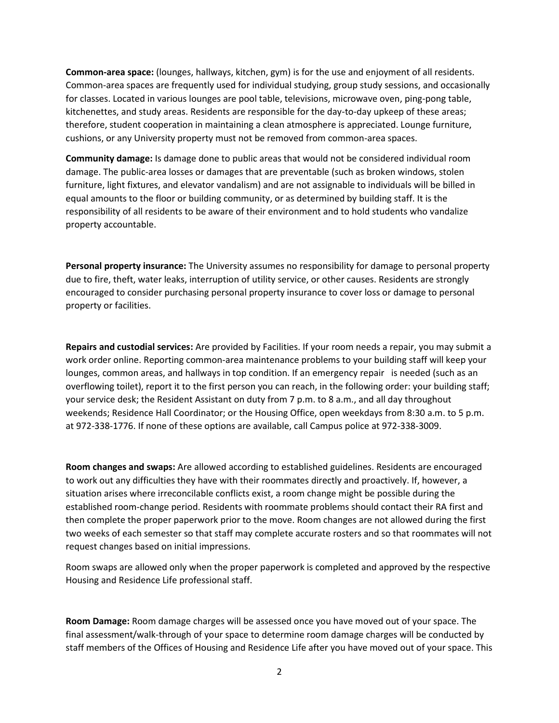**Common-area space:** (lounges, hallways, kitchen, gym) is for the use and enjoyment of all residents. Common-area spaces are frequently used for individual studying, group study sessions, and occasionally for classes. Located in various lounges are pool table, televisions, microwave oven, ping-pong table, kitchenettes, and study areas. Residents are responsible for the day-to-day upkeep of these areas; therefore, student cooperation in maintaining a clean atmosphere is appreciated. Lounge furniture, cushions, or any University property must not be removed from common-area spaces.

**Community damage:** Is damage done to public areas that would not be considered individual room damage. The public-area losses or damages that are preventable (such as broken windows, stolen furniture, light fixtures, and elevator vandalism) and are not assignable to individuals will be billed in equal amounts to the floor or building community, or as determined by building staff. It is the responsibility of all residents to be aware of their environment and to hold students who vandalize property accountable.

**Personal property insurance:** The University assumes no responsibility for damage to personal property due to fire, theft, water leaks, interruption of utility service, or other causes. Residents are strongly encouraged to consider purchasing personal property insurance to cover loss or damage to personal property or facilities.

**Repairs and custodial services:** Are provided by Facilities. If your room needs a repair, you may submit a work order online. Reporting common-area maintenance problems to your building staff will keep your lounges, common areas, and hallways in top condition. If an emergency repair is needed (such as an overflowing toilet), report it to the first person you can reach, in the following order: your building staff; your service desk; the Resident Assistant on duty from 7 p.m. to 8 a.m., and all day throughout weekends; Residence Hall Coordinator; or the Housing Office, open weekdays from 8:30 a.m. to 5 p.m. at 972-338-1776. If none of these options are available, call Campus police at 972-338-3009.

**Room changes and swaps:** Are allowed according to established guidelines. Residents are encouraged to work out any difficulties they have with their roommates directly and proactively. If, however, a situation arises where irreconcilable conflicts exist, a room change might be possible during the established room-change period. Residents with roommate problems should contact their RA first and then complete the proper paperwork prior to the move. Room changes are not allowed during the first two weeks of each semester so that staff may complete accurate rosters and so that roommates will not request changes based on initial impressions.

Room swaps are allowed only when the proper paperwork is completed and approved by the respective Housing and Residence Life professional staff.

**Room Damage:** Room damage charges will be assessed once you have moved out of your space. The final assessment/walk-through of your space to determine room damage charges will be conducted by staff members of the Offices of Housing and Residence Life after you have moved out of your space. This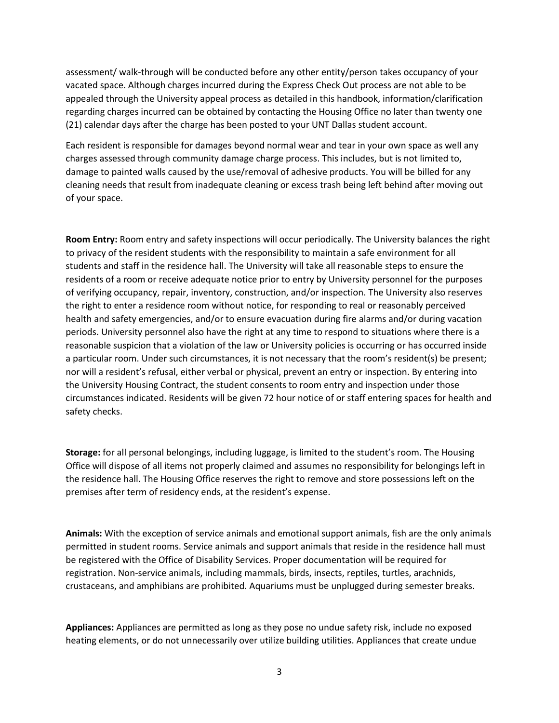assessment/ walk-through will be conducted before any other entity/person takes occupancy of your vacated space. Although charges incurred during the Express Check Out process are not able to be appealed through the University appeal process as detailed in this handbook, information/clarification regarding charges incurred can be obtained by contacting the Housing Office no later than twenty one (21) calendar days after the charge has been posted to your UNT Dallas student account.

Each resident is responsible for damages beyond normal wear and tear in your own space as well any charges assessed through community damage charge process. This includes, but is not limited to, damage to painted walls caused by the use/removal of adhesive products. You will be billed for any cleaning needs that result from inadequate cleaning or excess trash being left behind after moving out of your space.

**Room Entry:** Room entry and safety inspections will occur periodically. The University balances the right to privacy of the resident students with the responsibility to maintain a safe environment for all students and staff in the residence hall. The University will take all reasonable steps to ensure the residents of a room or receive adequate notice prior to entry by University personnel for the purposes of verifying occupancy, repair, inventory, construction, and/or inspection. The University also reserves the right to enter a residence room without notice, for responding to real or reasonably perceived health and safety emergencies, and/or to ensure evacuation during fire alarms and/or during vacation periods. University personnel also have the right at any time to respond to situations where there is a reasonable suspicion that a violation of the law or University policies is occurring or has occurred inside a particular room. Under such circumstances, it is not necessary that the room's resident(s) be present; nor will a resident's refusal, either verbal or physical, prevent an entry or inspection. By entering into the University Housing Contract, the student consents to room entry and inspection under those circumstances indicated. Residents will be given 72 hour notice of or staff entering spaces for health and safety checks.

**Storage:** for all personal belongings, including luggage, is limited to the student's room. The Housing Office will dispose of all items not properly claimed and assumes no responsibility for belongings left in the residence hall. The Housing Office reserves the right to remove and store possessions left on the premises after term of residency ends, at the resident's expense.

**Animals:** With the exception of service animals and emotional support animals, fish are the only animals permitted in student rooms. Service animals and support animals that reside in the residence hall must be registered with the Office of Disability Services. Proper documentation will be required for registration. Non-service animals, including mammals, birds, insects, reptiles, turtles, arachnids, crustaceans, and amphibians are prohibited. Aquariums must be unplugged during semester breaks.

**Appliances:** Appliances are permitted as long as they pose no undue safety risk, include no exposed heating elements, or do not unnecessarily over utilize building utilities. Appliances that create undue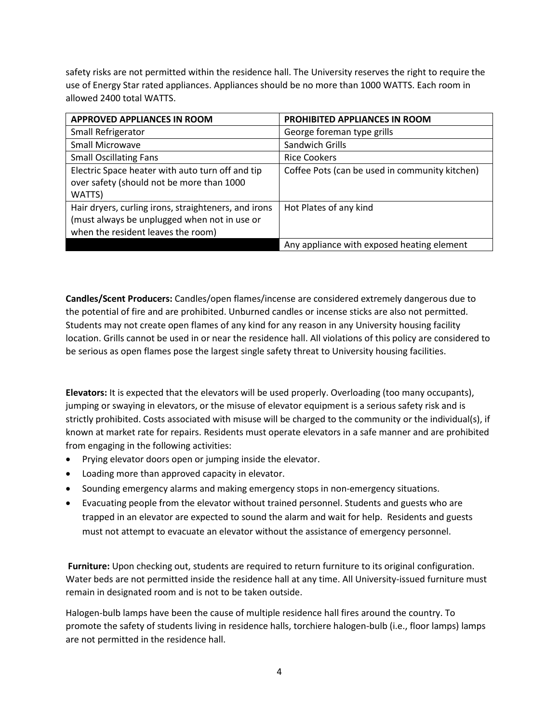safety risks are not permitted within the residence hall. The University reserves the right to require the use of Energy Star rated appliances. Appliances should be no more than 1000 WATTS. Each room in allowed 2400 total WATTS.

| <b>APPROVED APPLIANCES IN ROOM</b>                                                                                                         | PROHIBITED APPLIANCES IN ROOM                  |
|--------------------------------------------------------------------------------------------------------------------------------------------|------------------------------------------------|
| Small Refrigerator                                                                                                                         | George foreman type grills                     |
| Small Microwave                                                                                                                            | Sandwich Grills                                |
| <b>Small Oscillating Fans</b>                                                                                                              | <b>Rice Cookers</b>                            |
| Electric Space heater with auto turn off and tip<br>over safety (should not be more than 1000<br>WATTS)                                    | Coffee Pots (can be used in community kitchen) |
| Hair dryers, curling irons, straighteners, and irons<br>(must always be unplugged when not in use or<br>when the resident leaves the room) | Hot Plates of any kind                         |
|                                                                                                                                            | Any appliance with exposed heating element     |

**Candles/Scent Producers:** Candles/open flames/incense are considered extremely dangerous due to the potential of fire and are prohibited. Unburned candles or incense sticks are also not permitted. Students may not create open flames of any kind for any reason in any University housing facility location. Grills cannot be used in or near the residence hall. All violations of this policy are considered to be serious as open flames pose the largest single safety threat to University housing facilities.

**Elevators:** It is expected that the elevators will be used properly. Overloading (too many occupants), jumping or swaying in elevators, or the misuse of elevator equipment is a serious safety risk and is strictly prohibited. Costs associated with misuse will be charged to the community or the individual(s), if known at market rate for repairs. Residents must operate elevators in a safe manner and are prohibited from engaging in the following activities:

- Prying elevator doors open or jumping inside the elevator.
- Loading more than approved capacity in elevator.
- Sounding emergency alarms and making emergency stops in non-emergency situations.
- Evacuating people from the elevator without trained personnel. Students and guests who are trapped in an elevator are expected to sound the alarm and wait for help. Residents and guests must not attempt to evacuate an elevator without the assistance of emergency personnel.

**Furniture:** Upon checking out, students are required to return furniture to its original configuration. Water beds are not permitted inside the residence hall at any time. All University-issued furniture must remain in designated room and is not to be taken outside.

Halogen-bulb lamps have been the cause of multiple residence hall fires around the country. To promote the safety of students living in residence halls, torchiere halogen-bulb (i.e., floor lamps) lamps are not permitted in the residence hall.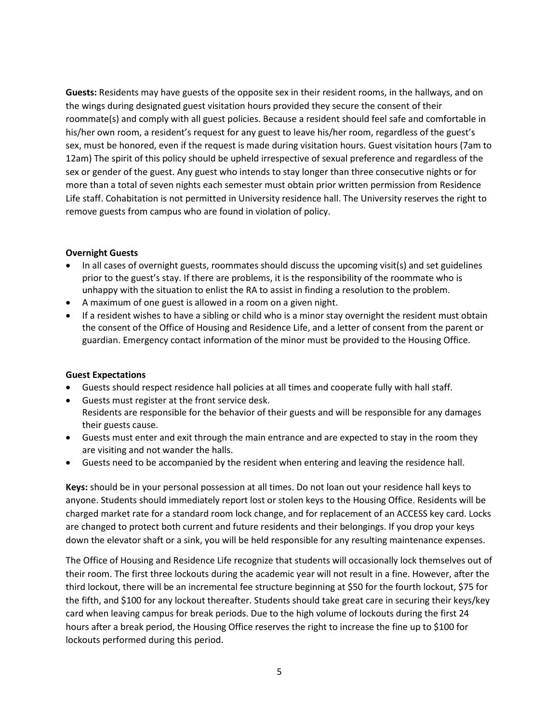**Guests:** Residents may have guests of the opposite sex in their resident rooms, in the hallways, and on the wings during designated guest visitation hours provided they secure the consent of their roommate(s) and comply with all guest policies. Because a resident should feel safe and comfortable in his/her own room, a resident's request for any guest to leave his/her room, regardless of the guest's sex, must be honored, even if the request is made during visitation hours. Guest visitation hours (7am to 12am) The spirit of this policy should be upheld irrespective of sexual preference and regardless of the sex or gender of the guest. Any guest who intends to stay longer than three consecutive nights or for more than a total of seven nights each semester must obtain prior written permission from Residence Life staff. Cohabitation is not permitted in University residence hall. The University reserves the right to remove guests from campus who are found in violation of policy.

#### **Overnight Guests**

- In all cases of overnight guests, roommates should discuss the upcoming visit(s) and set guidelines prior to the guest's stay. If there are problems, it is the responsibility of the roommate who is unhappy with the situation to enlist the RA to assist in finding a resolution to the problem.
- A maximum of one guest is allowed in a room on a given night.
- If a resident wishes to have a sibling or child who is a minor stay overnight the resident must obtain the consent of the Office of Housing and Residence Life, and a letter of consent from the parent or guardian. Emergency contact information of the minor must be provided to the Housing Office.

#### **Guest Expectations**

- Guests should respect residence hall policies at all times and cooperate fully with hall staff.
- Guests must register at the front service desk. Residents are responsible for the behavior of their guests and will be responsible for any damages their guests cause.
- Guests must enter and exit through the main entrance and are expected to stay in the room they are visiting and not wander the halls.
- Guests need to be accompanied by the resident when entering and leaving the residence hall.

**Keys:** should be in your personal possession at all times. Do not loan out your residence hall keys to anyone. Students should immediately report lost or stolen keys to the Housing Office. Residents will be charged market rate for a standard room lock change, and for replacement of an ACCESS key card. Locks are changed to protect both current and future residents and their belongings. If you drop your keys down the elevator shaft or a sink, you will be held responsible for any resulting maintenance expenses.

The Office of Housing and Residence Life recognize that students will occasionally lock themselves out of their room. The first three lockouts during the academic year will not result in a fine. However, after the third lockout, there will be an incremental fee structure beginning at \$50 for the fourth lockout, \$75 for the fifth, and \$100 for any lockout thereafter. Students should take great care in securing their keys/key card when leaving campus for break periods. Due to the high volume of lockouts during the first 24 hours after a break period, the Housing Office reserves the right to increase the fine up to \$100 for lockouts performed during this period.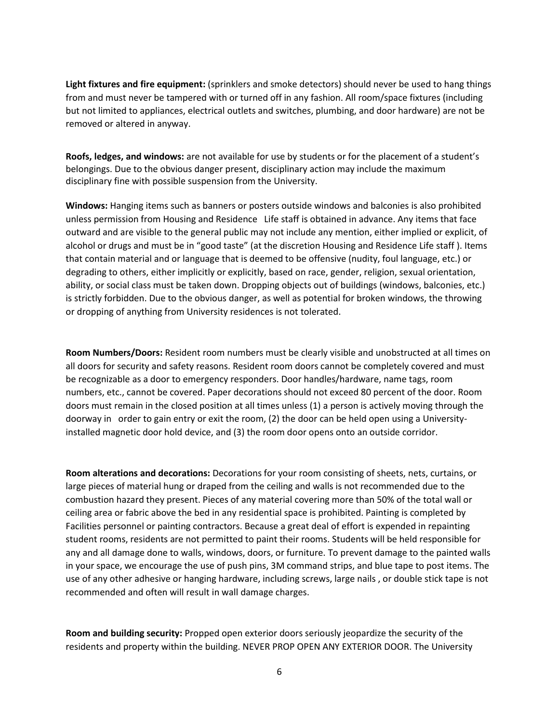**Light fixtures and fire equipment:** (sprinklers and smoke detectors) should never be used to hang things from and must never be tampered with or turned off in any fashion. All room/space fixtures (including but not limited to appliances, electrical outlets and switches, plumbing, and door hardware) are not be removed or altered in anyway.

**Roofs, ledges, and windows:** are not available for use by students or for the placement of a student's belongings. Due to the obvious danger present, disciplinary action may include the maximum disciplinary fine with possible suspension from the University.

**Windows:** Hanging items such as banners or posters outside windows and balconies is also prohibited unless permission from Housing and Residence Life staff is obtained in advance. Any items that face outward and are visible to the general public may not include any mention, either implied or explicit, of alcohol or drugs and must be in "good taste" (at the discretion Housing and Residence Life staff ). Items that contain material and or language that is deemed to be offensive (nudity, foul language, etc.) or degrading to others, either implicitly or explicitly, based on race, gender, religion, sexual orientation, ability, or social class must be taken down. Dropping objects out of buildings (windows, balconies, etc.) is strictly forbidden. Due to the obvious danger, as well as potential for broken windows, the throwing or dropping of anything from University residences is not tolerated.

**Room Numbers/Doors:** Resident room numbers must be clearly visible and unobstructed at all times on all doors for security and safety reasons. Resident room doors cannot be completely covered and must be recognizable as a door to emergency responders. Door handles/hardware, name tags, room numbers, etc., cannot be covered. Paper decorations should not exceed 80 percent of the door. Room doors must remain in the closed position at all times unless (1) a person is actively moving through the doorway in order to gain entry or exit the room, (2) the door can be held open using a Universityinstalled magnetic door hold device, and (3) the room door opens onto an outside corridor.

**Room alterations and decorations:** Decorations for your room consisting of sheets, nets, curtains, or large pieces of material hung or draped from the ceiling and walls is not recommended due to the combustion hazard they present. Pieces of any material covering more than 50% of the total wall or ceiling area or fabric above the bed in any residential space is prohibited. Painting is completed by Facilities personnel or painting contractors. Because a great deal of effort is expended in repainting student rooms, residents are not permitted to paint their rooms. Students will be held responsible for any and all damage done to walls, windows, doors, or furniture. To prevent damage to the painted walls in your space, we encourage the use of push pins, 3M command strips, and blue tape to post items. The use of any other adhesive or hanging hardware, including screws, large nails , or double stick tape is not recommended and often will result in wall damage charges.

**Room and building security:** Propped open exterior doors seriously jeopardize the security of the residents and property within the building. NEVER PROP OPEN ANY EXTERIOR DOOR. The University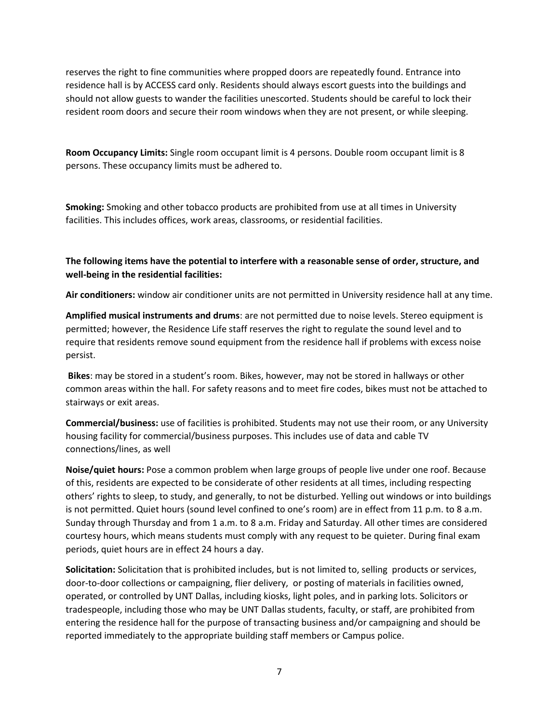reserves the right to fine communities where propped doors are repeatedly found. Entrance into residence hall is by ACCESS card only. Residents should always escort guests into the buildings and should not allow guests to wander the facilities unescorted. Students should be careful to lock their resident room doors and secure their room windows when they are not present, or while sleeping.

**Room Occupancy Limits:** Single room occupant limit is 4 persons. Double room occupant limit is 8 persons. These occupancy limits must be adhered to.

**Smoking:** Smoking and other tobacco products are prohibited from use at all times in University facilities. This includes offices, work areas, classrooms, or residential facilities.

**The following items have the potential to interfere with a reasonable sense of order, structure, and well-being in the residential facilities:**

**Air conditioners:** window air conditioner units are not permitted in University residence hall at any time.

**Amplified musical instruments and drums**: are not permitted due to noise levels. Stereo equipment is permitted; however, the Residence Life staff reserves the right to regulate the sound level and to require that residents remove sound equipment from the residence hall if problems with excess noise persist.

**Bikes**: may be stored in a student's room. Bikes, however, may not be stored in hallways or other common areas within the hall. For safety reasons and to meet fire codes, bikes must not be attached to stairways or exit areas.

**Commercial/business:** use of facilities is prohibited. Students may not use their room, or any University housing facility for commercial/business purposes. This includes use of data and cable TV connections/lines, as well

**Noise/quiet hours:** Pose a common problem when large groups of people live under one roof. Because of this, residents are expected to be considerate of other residents at all times, including respecting others' rights to sleep, to study, and generally, to not be disturbed. Yelling out windows or into buildings is not permitted. Quiet hours (sound level confined to one's room) are in effect from 11 p.m. to 8 a.m. Sunday through Thursday and from 1 a.m. to 8 a.m. Friday and Saturday. All other times are considered courtesy hours, which means students must comply with any request to be quieter. During final exam periods, quiet hours are in effect 24 hours a day.

**Solicitation:** Solicitation that is prohibited includes, but is not limited to, selling products or services, door-to-door collections or campaigning, flier delivery, or posting of materials in facilities owned, operated, or controlled by UNT Dallas, including kiosks, light poles, and in parking lots. Solicitors or tradespeople, including those who may be UNT Dallas students, faculty, or staff, are prohibited from entering the residence hall for the purpose of transacting business and/or campaigning and should be reported immediately to the appropriate building staff members or Campus police.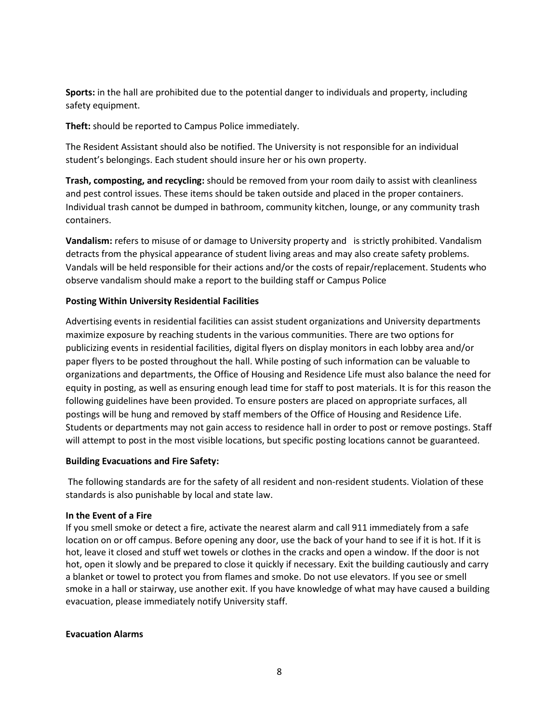**Sports:** in the hall are prohibited due to the potential danger to individuals and property, including safety equipment.

**Theft:** should be reported to Campus Police immediately.

The Resident Assistant should also be notified. The University is not responsible for an individual student's belongings. Each student should insure her or his own property.

**Trash, composting, and recycling:** should be removed from your room daily to assist with cleanliness and pest control issues. These items should be taken outside and placed in the proper containers. Individual trash cannot be dumped in bathroom, community kitchen, lounge, or any community trash containers.

**Vandalism:** refers to misuse of or damage to University property and is strictly prohibited. Vandalism detracts from the physical appearance of student living areas and may also create safety problems. Vandals will be held responsible for their actions and/or the costs of repair/replacement. Students who observe vandalism should make a report to the building staff or Campus Police

### **Posting Within University Residential Facilities**

Advertising events in residential facilities can assist student organizations and University departments maximize exposure by reaching students in the various communities. There are two options for publicizing events in residential facilities, digital flyers on display monitors in each lobby area and/or paper flyers to be posted throughout the hall. While posting of such information can be valuable to organizations and departments, the Office of Housing and Residence Life must also balance the need for equity in posting, as well as ensuring enough lead time for staff to post materials. It is for this reason the following guidelines have been provided. To ensure posters are placed on appropriate surfaces, all postings will be hung and removed by staff members of the Office of Housing and Residence Life. Students or departments may not gain access to residence hall in order to post or remove postings. Staff will attempt to post in the most visible locations, but specific posting locations cannot be guaranteed.

#### **Building Evacuations and Fire Safety:**

The following standards are for the safety of all resident and non-resident students. Violation of these standards is also punishable by local and state law.

#### **In the Event of a Fire**

If you smell smoke or detect a fire, activate the nearest alarm and call 911 immediately from a safe location on or off campus. Before opening any door, use the back of your hand to see if it is hot. If it is hot, leave it closed and stuff wet towels or clothes in the cracks and open a window. If the door is not hot, open it slowly and be prepared to close it quickly if necessary. Exit the building cautiously and carry a blanket or towel to protect you from flames and smoke. Do not use elevators. If you see or smell smoke in a hall or stairway, use another exit. If you have knowledge of what may have caused a building evacuation, please immediately notify University staff.

#### **Evacuation Alarms**